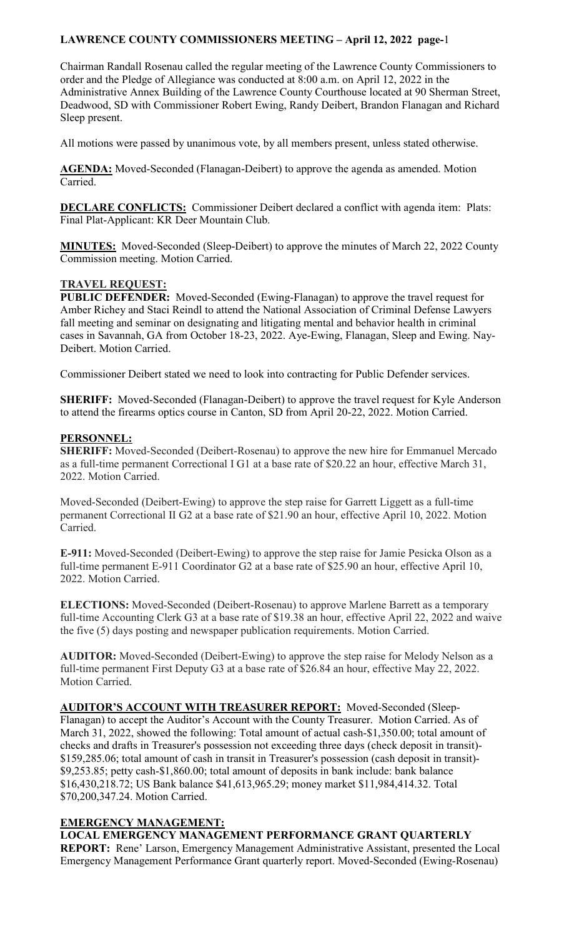Chairman Randall Rosenau called the regular meeting of the Lawrence County Commissioners to order and the Pledge of Allegiance was conducted at 8:00 a.m. on April 12, 2022 in the Administrative Annex Building of the Lawrence County Courthouse located at 90 Sherman Street, Deadwood, SD with Commissioner Robert Ewing, Randy Deibert, Brandon Flanagan and Richard Sleep present.

All motions were passed by unanimous vote, by all members present, unless stated otherwise.

**AGENDA:** Moved-Seconded (Flanagan-Deibert) to approve the agenda as amended. Motion Carried.

**DECLARE CONFLICTS:** Commissioner Deibert declared a conflict with agenda item: Plats: Final Plat-Applicant: KR Deer Mountain Club.

**MINUTES:** Moved-Seconded (Sleep-Deibert) to approve the minutes of March 22, 2022 County Commission meeting. Motion Carried.

#### **TRAVEL REQUEST:**

**PUBLIC DEFENDER:** Moved-Seconded (Ewing-Flanagan) to approve the travel request for Amber Richey and Staci Reindl to attend the National Association of Criminal Defense Lawyers fall meeting and seminar on designating and litigating mental and behavior health in criminal cases in Savannah, GA from October 18-23, 2022. Aye-Ewing, Flanagan, Sleep and Ewing. Nay-Deibert. Motion Carried.

Commissioner Deibert stated we need to look into contracting for Public Defender services.

**SHERIFF:** Moved-Seconded (Flanagan-Deibert) to approve the travel request for Kyle Anderson to attend the firearms optics course in Canton, SD from April 20-22, 2022. Motion Carried.

#### **PERSONNEL:**

**SHERIFF:** Moved-Seconded (Deibert-Rosenau) to approve the new hire for Emmanuel Mercado as a full-time permanent Correctional I G1 at a base rate of \$20.22 an hour, effective March 31, 2022. Motion Carried.

Moved-Seconded (Deibert-Ewing) to approve the step raise for Garrett Liggett as a full-time permanent Correctional II G2 at a base rate of \$21.90 an hour, effective April 10, 2022. Motion Carried.

**E-911:** Moved-Seconded (Deibert-Ewing) to approve the step raise for Jamie Pesicka Olson as a full-time permanent E-911 Coordinator G2 at a base rate of \$25.90 an hour, effective April 10, 2022. Motion Carried.

**ELECTIONS:** Moved-Seconded (Deibert-Rosenau) to approve Marlene Barrett as a temporary full-time Accounting Clerk G3 at a base rate of \$19.38 an hour, effective April 22, 2022 and waive the five (5) days posting and newspaper publication requirements. Motion Carried.

**AUDITOR:** Moved-Seconded (Deibert-Ewing) to approve the step raise for Melody Nelson as a full-time permanent First Deputy G3 at a base rate of \$26.84 an hour, effective May 22, 2022. Motion Carried.

**AUDITOR'S ACCOUNT WITH TREASURER REPORT:** Moved-Seconded (Sleep-Flanagan) to accept the Auditor's Account with the County Treasurer. Motion Carried. As of March 31, 2022, showed the following: Total amount of actual cash-\$1,350.00; total amount of checks and drafts in Treasurer's possession not exceeding three days (check deposit in transit)- \$159,285.06; total amount of cash in transit in Treasurer's possession (cash deposit in transit)- \$9,253.85; petty cash-\$1,860.00; total amount of deposits in bank include: bank balance \$16,430,218.72; US Bank balance \$41,613,965.29; money market \$11,984,414.32. Total \$70,200,347.24. Motion Carried.

# **EMERGENCY MANAGEMENT:**

**LOCAL EMERGENCY MANAGEMENT PERFORMANCE GRANT QUARTERLY REPORT:** Rene' Larson, Emergency Management Administrative Assistant, presented the Local Emergency Management Performance Grant quarterly report. Moved-Seconded (Ewing-Rosenau)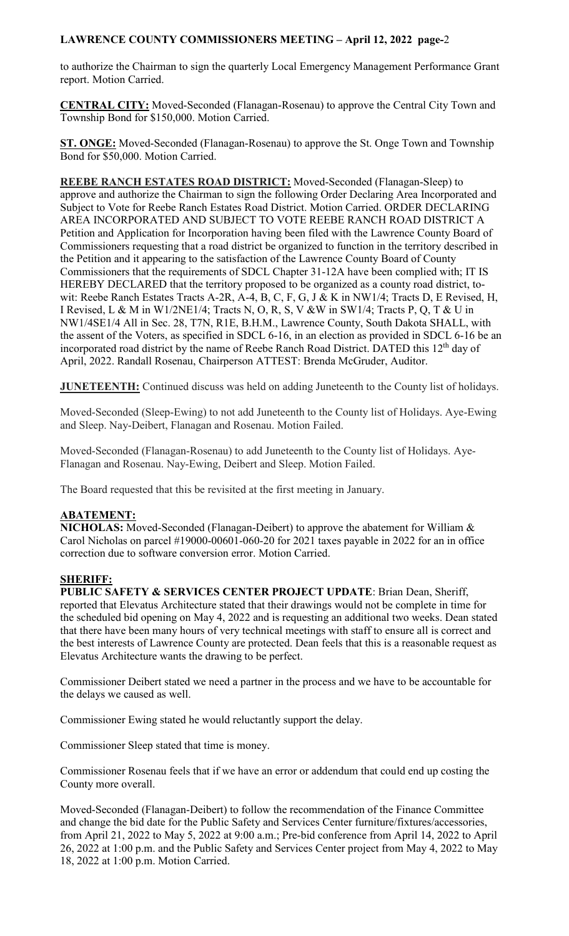to authorize the Chairman to sign the quarterly Local Emergency Management Performance Grant report. Motion Carried.

**CENTRAL CITY:** Moved-Seconded (Flanagan-Rosenau) to approve the Central City Town and Township Bond for \$150,000. Motion Carried.

**ST. ONGE:** Moved-Seconded (Flanagan-Rosenau) to approve the St. Onge Town and Township Bond for \$50,000. Motion Carried.

**REEBE RANCH ESTATES ROAD DISTRICT:** Moved-Seconded (Flanagan-Sleep) to approve and authorize the Chairman to sign the following Order Declaring Area Incorporated and Subject to Vote for Reebe Ranch Estates Road District. Motion Carried. ORDER DECLARING AREA INCORPORATED AND SUBJECT TO VOTE REEBE RANCH ROAD DISTRICT A Petition and Application for Incorporation having been filed with the Lawrence County Board of Commissioners requesting that a road district be organized to function in the territory described in the Petition and it appearing to the satisfaction of the Lawrence County Board of County Commissioners that the requirements of SDCL Chapter 31-12A have been complied with; IT IS HEREBY DECLARED that the territory proposed to be organized as a county road district, towit: Reebe Ranch Estates Tracts A-2R, A-4, B, C, F, G, J & K in NW1/4; Tracts D, E Revised, H, I Revised, L & M in W1/2NE1/4; Tracts N, O, R, S, V &W in SW1/4; Tracts P, Q, T & U in NW1/4SE1/4 All in Sec. 28, T7N, R1E, B.H.M., Lawrence County, South Dakota SHALL, with the assent of the Voters, as specified in SDCL 6-16, in an election as provided in SDCL 6-16 be an incorporated road district by the name of Reebe Ranch Road District. DATED this 12<sup>th</sup> day of April, 2022. Randall Rosenau, Chairperson ATTEST: Brenda McGruder, Auditor.

**JUNETEENTH:** Continued discuss was held on adding Juneteenth to the County list of holidays.

Moved-Seconded (Sleep-Ewing) to not add Juneteenth to the County list of Holidays. Aye-Ewing and Sleep. Nay-Deibert, Flanagan and Rosenau. Motion Failed.

Moved-Seconded (Flanagan-Rosenau) to add Juneteenth to the County list of Holidays. Aye-Flanagan and Rosenau. Nay-Ewing, Deibert and Sleep. Motion Failed.

The Board requested that this be revisited at the first meeting in January.

#### **ABATEMENT:**

**NICHOLAS:** Moved-Seconded (Flanagan-Deibert) to approve the abatement for William & Carol Nicholas on parcel #19000-00601-060-20 for 2021 taxes payable in 2022 for an in office correction due to software conversion error. Motion Carried.

#### **SHERIFF:**

**PUBLIC SAFETY & SERVICES CENTER PROJECT UPDATE**: Brian Dean, Sheriff, reported that Elevatus Architecture stated that their drawings would not be complete in time for the scheduled bid opening on May 4, 2022 and is requesting an additional two weeks. Dean stated that there have been many hours of very technical meetings with staff to ensure all is correct and the best interests of Lawrence County are protected. Dean feels that this is a reasonable request as Elevatus Architecture wants the drawing to be perfect.

Commissioner Deibert stated we need a partner in the process and we have to be accountable for the delays we caused as well.

Commissioner Ewing stated he would reluctantly support the delay.

Commissioner Sleep stated that time is money.

Commissioner Rosenau feels that if we have an error or addendum that could end up costing the County more overall.

Moved-Seconded (Flanagan-Deibert) to follow the recommendation of the Finance Committee and change the bid date for the Public Safety and Services Center furniture/fixtures/accessories, from April 21, 2022 to May 5, 2022 at 9:00 a.m.; Pre-bid conference from April 14, 2022 to April 26, 2022 at 1:00 p.m. and the Public Safety and Services Center project from May 4, 2022 to May 18, 2022 at 1:00 p.m. Motion Carried.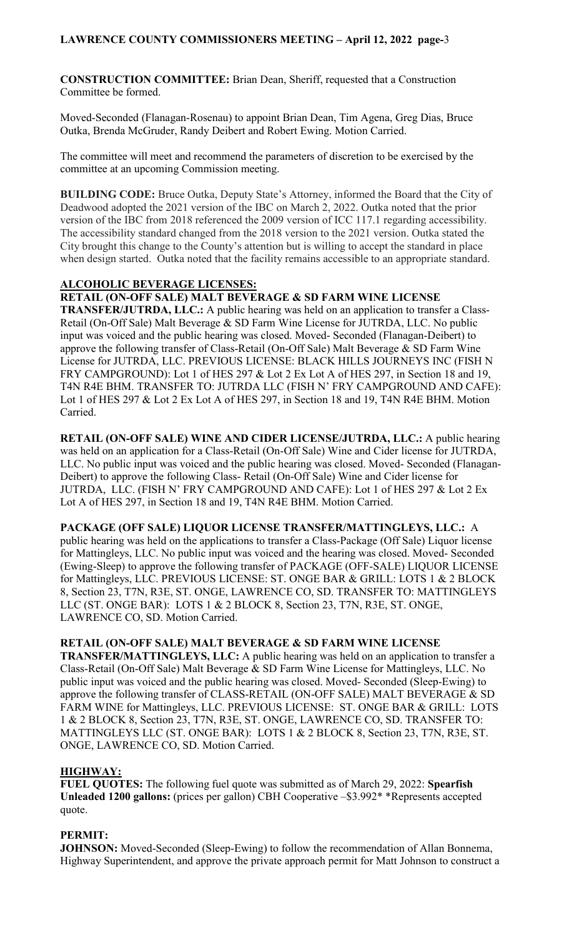**CONSTRUCTION COMMITTEE:** Brian Dean, Sheriff, requested that a Construction Committee be formed.

Moved-Seconded (Flanagan-Rosenau) to appoint Brian Dean, Tim Agena, Greg Dias, Bruce Outka, Brenda McGruder, Randy Deibert and Robert Ewing. Motion Carried.

The committee will meet and recommend the parameters of discretion to be exercised by the committee at an upcoming Commission meeting.

**BUILDING CODE:** Bruce Outka, Deputy State's Attorney, informed the Board that the City of Deadwood adopted the 2021 version of the IBC on March 2, 2022. Outka noted that the prior version of the IBC from 2018 referenced the 2009 version of ICC 117.1 regarding accessibility. The accessibility standard changed from the 2018 version to the 2021 version. Outka stated the City brought this change to the County's attention but is willing to accept the standard in place when design started. Outka noted that the facility remains accessible to an appropriate standard.

# **ALCOHOLIC BEVERAGE LICENSES:**

**RETAIL (ON-OFF SALE) MALT BEVERAGE & SD FARM WINE LICENSE** 

**TRANSFER/JUTRDA, LLC.:** A public hearing was held on an application to transfer a Class-Retail (On-Off Sale) Malt Beverage & SD Farm Wine License for JUTRDA, LLC. No public input was voiced and the public hearing was closed. Moved- Seconded (Flanagan-Deibert) to approve the following transfer of Class-Retail (On-Off Sale) Malt Beverage & SD Farm Wine License for JUTRDA, LLC. PREVIOUS LICENSE: BLACK HILLS JOURNEYS INC (FISH N FRY CAMPGROUND): Lot 1 of HES 297 & Lot 2 Ex Lot A of HES 297, in Section 18 and 19, T4N R4E BHM. TRANSFER TO: JUTRDA LLC (FISH N' FRY CAMPGROUND AND CAFE): Lot 1 of HES 297 & Lot 2 Ex Lot A of HES 297, in Section 18 and 19, T4N R4E BHM. Motion Carried.

**RETAIL (ON-OFF SALE) WINE AND CIDER LICENSE/JUTRDA, LLC.:** A public hearing was held on an application for a Class-Retail (On-Off Sale) Wine and Cider license for JUTRDA, LLC. No public input was voiced and the public hearing was closed. Moved- Seconded (Flanagan-Deibert) to approve the following Class- Retail (On-Off Sale) Wine and Cider license for JUTRDA, LLC. (FISH N' FRY CAMPGROUND AND CAFE): Lot 1 of HES 297 & Lot 2 Ex Lot A of HES 297, in Section 18 and 19, T4N R4E BHM. Motion Carried.

**PACKAGE (OFF SALE) LIQUOR LICENSE TRANSFER/MATTINGLEYS, LLC.:** A public hearing was held on the applications to transfer a Class-Package (Off Sale) Liquor license for Mattingleys, LLC. No public input was voiced and the hearing was closed. Moved- Seconded (Ewing-Sleep) to approve the following transfer of PACKAGE (OFF-SALE) LIQUOR LICENSE for Mattingleys, LLC. PREVIOUS LICENSE: ST. ONGE BAR & GRILL: LOTS 1 & 2 BLOCK 8, Section 23, T7N, R3E, ST. ONGE, LAWRENCE CO, SD. TRANSFER TO: MATTINGLEYS LLC (ST. ONGE BAR): LOTS 1 & 2 BLOCK 8, Section 23, T7N, R3E, ST. ONGE, LAWRENCE CO, SD. Motion Carried.

#### **RETAIL (ON-OFF SALE) MALT BEVERAGE & SD FARM WINE LICENSE**

**TRANSFER/MATTINGLEYS, LLC:** A public hearing was held on an application to transfer a Class-Retail (On-Off Sale) Malt Beverage & SD Farm Wine License for Mattingleys, LLC. No public input was voiced and the public hearing was closed. Moved- Seconded (Sleep-Ewing) to approve the following transfer of CLASS-RETAIL (ON-OFF SALE) MALT BEVERAGE & SD FARM WINE for Mattingleys, LLC. PREVIOUS LICENSE: ST. ONGE BAR & GRILL: LOTS 1 & 2 BLOCK 8, Section 23, T7N, R3E, ST. ONGE, LAWRENCE CO, SD. TRANSFER TO: MATTINGLEYS LLC (ST. ONGE BAR): LOTS 1 & 2 BLOCK 8, Section 23, T7N, R3E, ST. ONGE, LAWRENCE CO, SD. Motion Carried.

# **HIGHWAY:**

**FUEL QUOTES:** The following fuel quote was submitted as of March 29, 2022: **Spearfish Unleaded 1200 gallons:** (prices per gallon) CBH Cooperative –\$3.992\* \*Represents accepted quote.

# **PERMIT:**

**JOHNSON:** Moved-Seconded (Sleep-Ewing) to follow the recommendation of Allan Bonnema, Highway Superintendent, and approve the private approach permit for Matt Johnson to construct a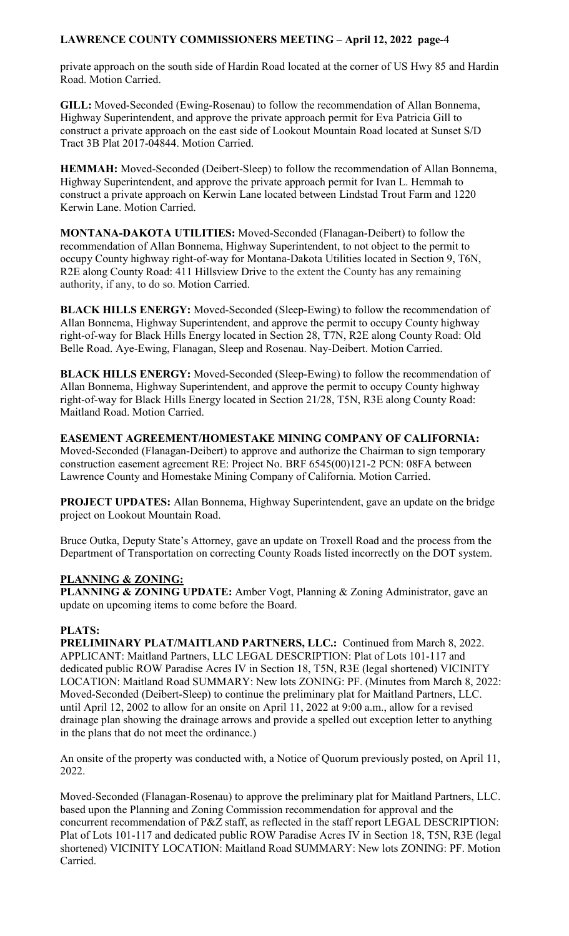private approach on the south side of Hardin Road located at the corner of US Hwy 85 and Hardin Road. Motion Carried.

**GILL:** Moved-Seconded (Ewing-Rosenau) to follow the recommendation of Allan Bonnema, Highway Superintendent, and approve the private approach permit for Eva Patricia Gill to construct a private approach on the east side of Lookout Mountain Road located at Sunset S/D Tract 3B Plat 2017-04844. Motion Carried.

**HEMMAH:** Moved-Seconded (Deibert-Sleep) to follow the recommendation of Allan Bonnema, Highway Superintendent, and approve the private approach permit for Ivan L. Hemmah to construct a private approach on Kerwin Lane located between Lindstad Trout Farm and 1220 Kerwin Lane. Motion Carried.

**MONTANA-DAKOTA UTILITIES:** Moved-Seconded (Flanagan-Deibert) to follow the recommendation of Allan Bonnema, Highway Superintendent, to not object to the permit to occupy County highway right-of-way for Montana-Dakota Utilities located in Section 9, T6N, R2E along County Road: 411 Hillsview Drive to the extent the County has any remaining authority, if any, to do so. Motion Carried.

**BLACK HILLS ENERGY:** Moved-Seconded (Sleep-Ewing) to follow the recommendation of Allan Bonnema, Highway Superintendent, and approve the permit to occupy County highway right-of-way for Black Hills Energy located in Section 28, T7N, R2E along County Road: Old Belle Road. Aye-Ewing, Flanagan, Sleep and Rosenau. Nay-Deibert. Motion Carried.

**BLACK HILLS ENERGY:** Moved-Seconded (Sleep-Ewing) to follow the recommendation of Allan Bonnema, Highway Superintendent, and approve the permit to occupy County highway right-of-way for Black Hills Energy located in Section 21/28, T5N, R3E along County Road: Maitland Road. Motion Carried.

**EASEMENT AGREEMENT/HOMESTAKE MINING COMPANY OF CALIFORNIA:**  Moved-Seconded (Flanagan-Deibert) to approve and authorize the Chairman to sign temporary construction easement agreement RE: Project No. BRF 6545(00)121-2 PCN: 08FA between Lawrence County and Homestake Mining Company of California. Motion Carried.

**PROJECT UPDATES:** Allan Bonnema, Highway Superintendent, gave an update on the bridge project on Lookout Mountain Road.

Bruce Outka, Deputy State's Attorney, gave an update on Troxell Road and the process from the Department of Transportation on correcting County Roads listed incorrectly on the DOT system.

# **PLANNING & ZONING:**

**PLANNING & ZONING UPDATE:** Amber Vogt, Planning & Zoning Administrator, gave an update on upcoming items to come before the Board.

# **PLATS:**

**PRELIMINARY PLAT/MAITLAND PARTNERS, LLC.:** Continued from March 8, 2022. APPLICANT: Maitland Partners, LLC LEGAL DESCRIPTION: Plat of Lots 101-117 and dedicated public ROW Paradise Acres IV in Section 18, T5N, R3E (legal shortened) VICINITY LOCATION: Maitland Road SUMMARY: New lots ZONING: PF. (Minutes from March 8, 2022: Moved-Seconded (Deibert-Sleep) to continue the preliminary plat for Maitland Partners, LLC. until April 12, 2002 to allow for an onsite on April 11, 2022 at 9:00 a.m., allow for a revised drainage plan showing the drainage arrows and provide a spelled out exception letter to anything in the plans that do not meet the ordinance.)

An onsite of the property was conducted with, a Notice of Quorum previously posted, on April 11, 2022.

Moved-Seconded (Flanagan-Rosenau) to approve the preliminary plat for Maitland Partners, LLC. based upon the Planning and Zoning Commission recommendation for approval and the concurrent recommendation of P&Z staff, as reflected in the staff report LEGAL DESCRIPTION: Plat of Lots 101-117 and dedicated public ROW Paradise Acres IV in Section 18, T5N, R3E (legal shortened) VICINITY LOCATION: Maitland Road SUMMARY: New lots ZONING: PF. Motion Carried.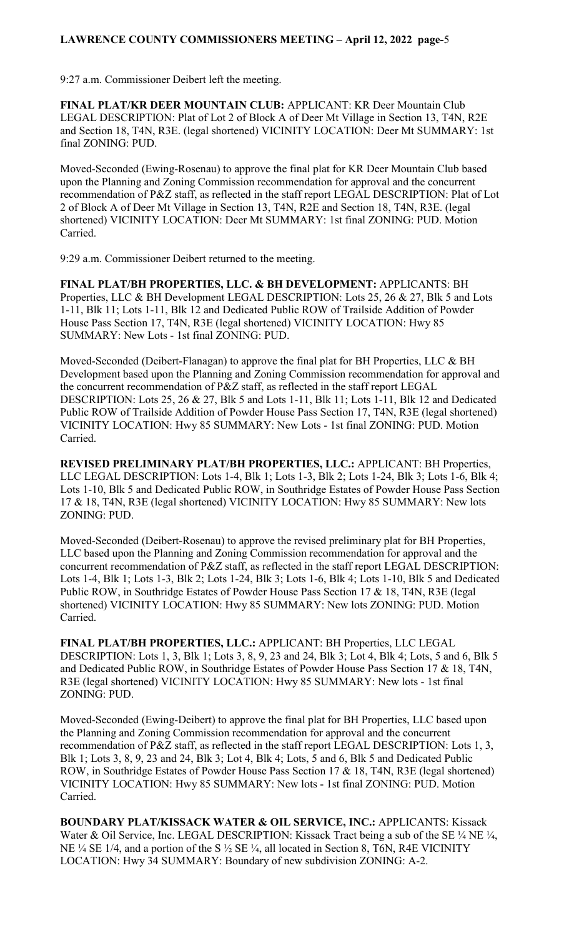9:27 a.m. Commissioner Deibert left the meeting.

**FINAL PLAT/KR DEER MOUNTAIN CLUB:** APPLICANT: KR Deer Mountain Club LEGAL DESCRIPTION: Plat of Lot 2 of Block A of Deer Mt Village in Section 13, T4N, R2E and Section 18, T4N, R3E. (legal shortened) VICINITY LOCATION: Deer Mt SUMMARY: 1st final ZONING: PUD.

Moved-Seconded (Ewing-Rosenau) to approve the final plat for KR Deer Mountain Club based upon the Planning and Zoning Commission recommendation for approval and the concurrent recommendation of P&Z staff, as reflected in the staff report LEGAL DESCRIPTION: Plat of Lot 2 of Block A of Deer Mt Village in Section 13, T4N, R2E and Section 18, T4N, R3E. (legal shortened) VICINITY LOCATION: Deer Mt SUMMARY: 1st final ZONING: PUD. Motion Carried.

9:29 a.m. Commissioner Deibert returned to the meeting.

**FINAL PLAT/BH PROPERTIES, LLC. & BH DEVELOPMENT:** APPLICANTS: BH Properties, LLC & BH Development LEGAL DESCRIPTION: Lots 25, 26 & 27, Blk 5 and Lots 1-11, Blk 11; Lots 1-11, Blk 12 and Dedicated Public ROW of Trailside Addition of Powder House Pass Section 17, T4N, R3E (legal shortened) VICINITY LOCATION: Hwy 85 SUMMARY: New Lots - 1st final ZONING: PUD.

Moved-Seconded (Deibert-Flanagan) to approve the final plat for BH Properties, LLC & BH Development based upon the Planning and Zoning Commission recommendation for approval and the concurrent recommendation of P&Z staff, as reflected in the staff report LEGAL DESCRIPTION: Lots 25, 26 & 27, Blk 5 and Lots 1-11, Blk 11; Lots 1-11, Blk 12 and Dedicated Public ROW of Trailside Addition of Powder House Pass Section 17, T4N, R3E (legal shortened) VICINITY LOCATION: Hwy 85 SUMMARY: New Lots - 1st final ZONING: PUD. Motion Carried.

**REVISED PRELIMINARY PLAT/BH PROPERTIES, LLC.:** APPLICANT: BH Properties, LLC LEGAL DESCRIPTION: Lots 1-4, Blk 1; Lots 1-3, Blk 2; Lots 1-24, Blk 3; Lots 1-6, Blk 4; Lots 1-10, Blk 5 and Dedicated Public ROW, in Southridge Estates of Powder House Pass Section 17 & 18, T4N, R3E (legal shortened) VICINITY LOCATION: Hwy 85 SUMMARY: New lots ZONING: PUD.

Moved-Seconded (Deibert-Rosenau) to approve the revised preliminary plat for BH Properties, LLC based upon the Planning and Zoning Commission recommendation for approval and the concurrent recommendation of P&Z staff, as reflected in the staff report LEGAL DESCRIPTION: Lots 1-4, Blk 1; Lots 1-3, Blk 2; Lots 1-24, Blk 3; Lots 1-6, Blk 4; Lots 1-10, Blk 5 and Dedicated Public ROW, in Southridge Estates of Powder House Pass Section 17 & 18, T4N, R3E (legal shortened) VICINITY LOCATION: Hwy 85 SUMMARY: New lots ZONING: PUD. Motion Carried.

**FINAL PLAT/BH PROPERTIES, LLC.:** APPLICANT: BH Properties, LLC LEGAL DESCRIPTION: Lots 1, 3, Blk 1; Lots 3, 8, 9, 23 and 24, Blk 3; Lot 4, Blk 4; Lots, 5 and 6, Blk 5 and Dedicated Public ROW, in Southridge Estates of Powder House Pass Section 17 & 18, T4N, R3E (legal shortened) VICINITY LOCATION: Hwy 85 SUMMARY: New lots - 1st final ZONING: PUD.

Moved-Seconded (Ewing-Deibert) to approve the final plat for BH Properties, LLC based upon the Planning and Zoning Commission recommendation for approval and the concurrent recommendation of P&Z staff, as reflected in the staff report LEGAL DESCRIPTION: Lots 1, 3, Blk 1; Lots 3, 8, 9, 23 and 24, Blk 3; Lot 4, Blk 4; Lots, 5 and 6, Blk 5 and Dedicated Public ROW, in Southridge Estates of Powder House Pass Section 17 & 18, T4N, R3E (legal shortened) VICINITY LOCATION: Hwy 85 SUMMARY: New lots - 1st final ZONING: PUD. Motion Carried.

**BOUNDARY PLAT/KISSACK WATER & OIL SERVICE, INC.:** APPLICANTS: Kissack Water & Oil Service, Inc. LEGAL DESCRIPTION: Kissack Tract being a sub of the SE 1/4 NE 1/4, NE  $\frac{1}{4}$  SE 1/4, and a portion of the S  $\frac{1}{2}$  SE  $\frac{1}{4}$ , all located in Section 8, T6N, R4E VICINITY LOCATION: Hwy 34 SUMMARY: Boundary of new subdivision ZONING: A-2.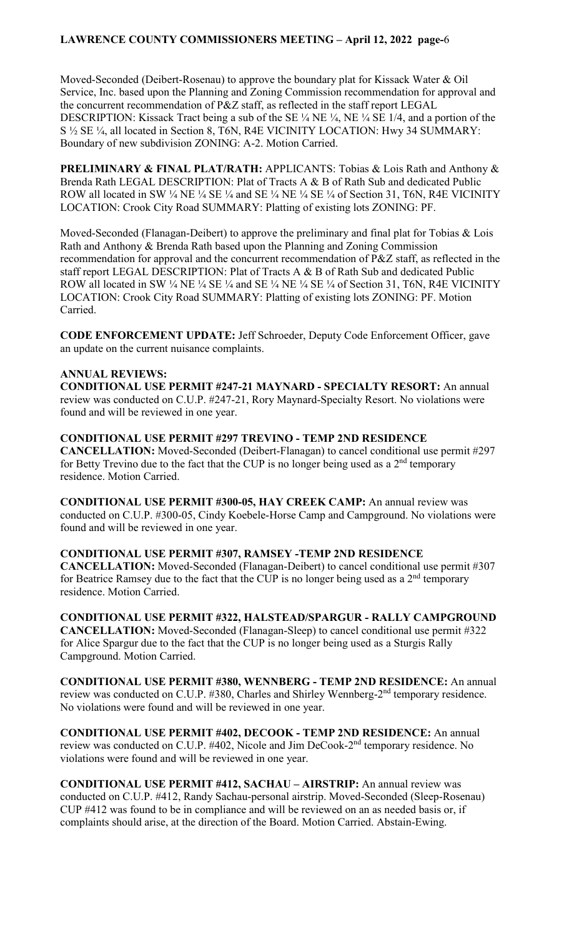Moved-Seconded (Deibert-Rosenau) to approve the boundary plat for Kissack Water & Oil Service, Inc. based upon the Planning and Zoning Commission recommendation for approval and the concurrent recommendation of P&Z staff, as reflected in the staff report LEGAL DESCRIPTION: Kissack Tract being a sub of the SE  $\frac{1}{4}$  NE  $\frac{1}{4}$ , NE  $\frac{1}{4}$  SE 1/4, and a portion of the S ½ SE ¼, all located in Section 8, T6N, R4E VICINITY LOCATION: Hwy 34 SUMMARY: Boundary of new subdivision ZONING: A-2. Motion Carried.

**PRELIMINARY & FINAL PLAT/RATH:** APPLICANTS: Tobias & Lois Rath and Anthony & Brenda Rath LEGAL DESCRIPTION: Plat of Tracts A & B of Rath Sub and dedicated Public ROW all located in SW 1/4 NE 1/4 SE 1/4 and SE 1/4 NE 1/4 SE 1/4 of Section 31, T6N, R4E VICINITY LOCATION: Crook City Road SUMMARY: Platting of existing lots ZONING: PF.

Moved-Seconded (Flanagan-Deibert) to approve the preliminary and final plat for Tobias & Lois Rath and Anthony & Brenda Rath based upon the Planning and Zoning Commission recommendation for approval and the concurrent recommendation of P&Z staff, as reflected in the staff report LEGAL DESCRIPTION: Plat of Tracts A & B of Rath Sub and dedicated Public ROW all located in SW 1/4 NE 1/4 SE 1/4 and SE 1/4 NE 1/4 SE 1/4 of Section 31, T6N, R4E VICINITY LOCATION: Crook City Road SUMMARY: Platting of existing lots ZONING: PF. Motion Carried.

**CODE ENFORCEMENT UPDATE:** Jeff Schroeder, Deputy Code Enforcement Officer, gave an update on the current nuisance complaints.

#### **ANNUAL REVIEWS:**

**CONDITIONAL USE PERMIT #247-21 MAYNARD - SPECIALTY RESORT:** An annual review was conducted on C.U.P. #247-21, Rory Maynard-Specialty Resort. No violations were found and will be reviewed in one year.

**CONDITIONAL USE PERMIT #297 TREVINO - TEMP 2ND RESIDENCE CANCELLATION:** Moved-Seconded (Deibert-Flanagan) to cancel conditional use permit #297 for Betty Trevino due to the fact that the CUP is no longer being used as a  $2<sup>nd</sup>$  temporary residence. Motion Carried.

**CONDITIONAL USE PERMIT #300-05, HAY CREEK CAMP:** An annual review was conducted on C.U.P. #300-05, Cindy Koebele-Horse Camp and Campground. No violations were found and will be reviewed in one year.

# **CONDITIONAL USE PERMIT #307, RAMSEY -TEMP 2ND RESIDENCE**

**CANCELLATION:** Moved-Seconded (Flanagan-Deibert) to cancel conditional use permit #307 for Beatrice Ramsey due to the fact that the CUP is no longer being used as a  $2<sup>nd</sup>$  temporary residence. Motion Carried.

**CONDITIONAL USE PERMIT #322, HALSTEAD/SPARGUR - RALLY CAMPGROUND CANCELLATION:** Moved-Seconded (Flanagan-Sleep) to cancel conditional use permit #322 for Alice Spargur due to the fact that the CUP is no longer being used as a Sturgis Rally Campground. Motion Carried.

**CONDITIONAL USE PERMIT #380, WENNBERG - TEMP 2ND RESIDENCE:** An annual review was conducted on C.U.P. #380, Charles and Shirley Wennberg-2<sup>nd</sup> temporary residence. No violations were found and will be reviewed in one year.

**CONDITIONAL USE PERMIT #402, DECOOK - TEMP 2ND RESIDENCE:** An annual review was conducted on C.U.P. #402, Nicole and Jim DeCook-2<sup>nd</sup> temporary residence. No violations were found and will be reviewed in one year.

**CONDITIONAL USE PERMIT #412, SACHAU – AIRSTRIP:** An annual review was conducted on C.U.P. #412, Randy Sachau-personal airstrip. Moved-Seconded (Sleep-Rosenau) CUP #412 was found to be in compliance and will be reviewed on an as needed basis or, if complaints should arise, at the direction of the Board. Motion Carried. Abstain-Ewing.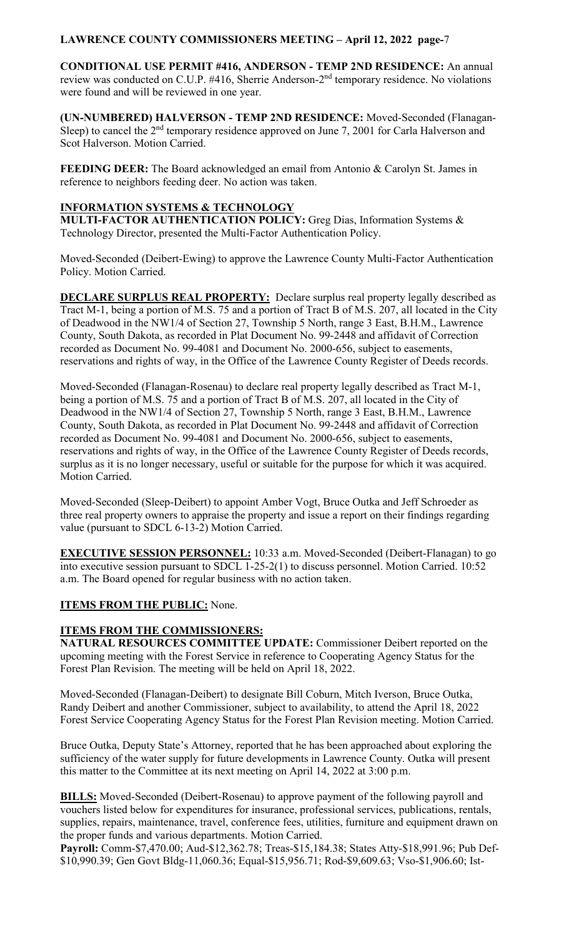**CONDITIONAL USE PERMIT #416, ANDERSON - TEMP 2ND RESIDENCE:** An annual review was conducted on C.U.P. #416, Sherrie Anderson-2nd temporary residence. No violations were found and will be reviewed in one year.

**(UN-NUMBERED) HALVERSON - TEMP 2ND RESIDENCE:** Moved-Seconded (Flanagan-Sleep) to cancel the  $2<sup>nd</sup>$  temporary residence approved on June 7, 2001 for Carla Halverson and Scot Halverson. Motion Carried.

**FEEDING DEER:** The Board acknowledged an email from Antonio & Carolyn St. James in reference to neighbors feeding deer. No action was taken.

#### **INFORMATION SYSTEMS & TECHNOLOGY**

**MULTI-FACTOR AUTHENTICATION POLICY:** Greg Dias, Information Systems & Technology Director, presented the Multi-Factor Authentication Policy.

Moved-Seconded (Deibert-Ewing) to approve the Lawrence County Multi-Factor Authentication Policy. Motion Carried.

**DECLARE SURPLUS REAL PROPERTY:** Declare surplus real property legally described as Tract M-1, being a portion of M.S. 75 and a portion of Tract B of M.S. 207, all located in the City of Deadwood in the NW1/4 of Section 27, Township 5 North, range 3 East, B.H.M., Lawrence County, South Dakota, as recorded in Plat Document No. 99-2448 and affidavit of Correction recorded as Document No. 99-4081 and Document No. 2000-656, subject to easements, reservations and rights of way, in the Office of the Lawrence County Register of Deeds records.

Moved-Seconded (Flanagan-Rosenau) to declare real property legally described as Tract M-1, being a portion of M.S. 75 and a portion of Tract B of M.S. 207, all located in the City of Deadwood in the NW1/4 of Section 27, Township 5 North, range 3 East, B.H.M., Lawrence County, South Dakota, as recorded in Plat Document No. 99-2448 and affidavit of Correction recorded as Document No. 99-4081 and Document No. 2000-656, subject to easements, reservations and rights of way, in the Office of the Lawrence County Register of Deeds records, surplus as it is no longer necessary, useful or suitable for the purpose for which it was acquired. Motion Carried.

Moved-Seconded (Sleep-Deibert) to appoint Amber Vogt, Bruce Outka and Jeff Schroeder as three real property owners to appraise the property and issue a report on their findings regarding value (pursuant to SDCL 6-13-2) Motion Carried.

**EXECUTIVE SESSION PERSONNEL:** 10:33 a.m. Moved-Seconded (Deibert-Flanagan) to go into executive session pursuant to SDCL 1-25-2(1) to discuss personnel. Motion Carried. 10:52 a.m. The Board opened for regular business with no action taken.

#### **ITEMS FROM THE PUBLIC:** None.

# **ITEMS FROM THE COMMISSIONERS:**

**NATURAL RESOURCES COMMITTEE UPDATE:** Commissioner Deibert reported on the upcoming meeting with the Forest Service in reference to Cooperating Agency Status for the Forest Plan Revision. The meeting will be held on April 18, 2022.

Moved-Seconded (Flanagan-Deibert) to designate Bill Coburn, Mitch Iverson, Bruce Outka, Randy Deibert and another Commissioner, subject to availability, to attend the April 18, 2022 Forest Service Cooperating Agency Status for the Forest Plan Revision meeting. Motion Carried.

Bruce Outka, Deputy State's Attorney, reported that he has been approached about exploring the sufficiency of the water supply for future developments in Lawrence County. Outka will present this matter to the Committee at its next meeting on April 14, 2022 at 3:00 p.m.

**BILLS:** Moved-Seconded (Deibert-Rosenau) to approve payment of the following payroll and vouchers listed below for expenditures for insurance, professional services, publications, rentals, supplies, repairs, maintenance, travel, conference fees, utilities, furniture and equipment drawn on the proper funds and various departments. Motion Carried.

**Payroll:** Comm-\$7,470.00; Aud-\$12,362.78; Treas-\$15,184.38; States Atty-\$18,991.96; Pub Def- \$10,990.39; Gen Govt Bldg-11,060.36; Equal-\$15,956.71; Rod-\$9,609.63; Vso-\$1,906.60; Ist-